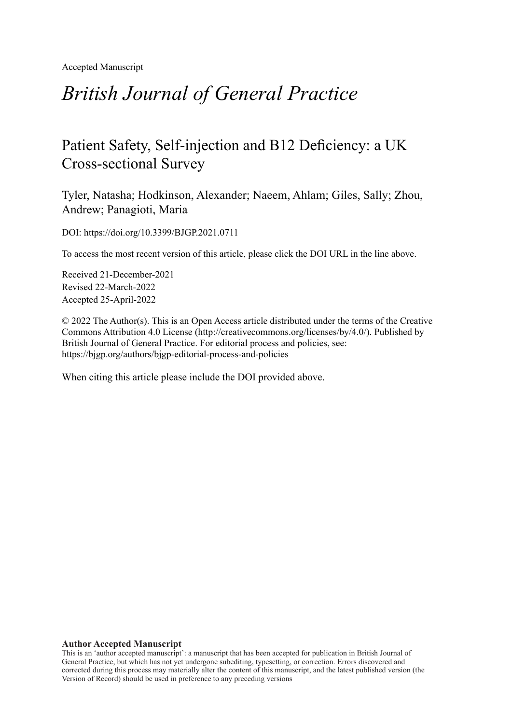Accepted Manuscript

# *British Journal of General Practice*

## Patient Safety, Self-injection and B12 Deficiency: a UK Cross-sectional Survey

Tyler, Natasha; Hodkinson, Alexander; Naeem, Ahlam; Giles, Sally; Zhou, Andrew; Panagioti, Maria

DOI: https://doi.org/10.3399/BJGP.2021.0711

To access the most recent version of this article, please click the DOI URL in the line above.

Received 21-December-2021 Revised 22-March-2022 Accepted 25-April-2022

© 2022 The Author(s). This is an Open Access article distributed under the terms of the Creative Commons Attribution 4.0 License [\(http://creativecommons.org/licenses/by/4.0/](http://creativecommons.org/licenses/by/4.0/)). Published by British Journal of General Practice. For editorial process and policies, see: <https://bjgp.org/authors/bjgp-editorial-process-and-policies>

When citing this article please include the DOI provided above.

#### **Author Accepted Manuscript**

This is an 'author accepted manuscript': a manuscript that has been accepted for publication in British Journal of General Practice, but which has not yet undergone subediting, typesetting, or correction. Errors discovered and corrected during this process may materially alter the content of this manuscript, and the latest published version (the Version of Record) should be used in preference to any preceding versions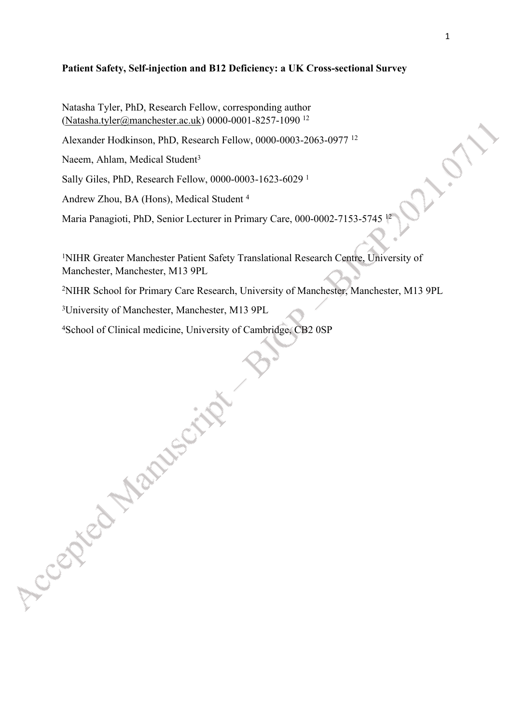## **Patient Safety, Self-injection and B12 Deficiency: a UK Cross-sectional Survey**

Natasha Tyler, PhD, Research Fellow, corresponding author ([Natasha.tyler@manchester.ac.uk\)](mailto:Natasha.tyler@manchester.ac.uk) 0000-0001-8257-1090 <sup>12</sup>

Alexander Hodkinson, PhD, Research Fellow, 0000-0003-2063-0977 <sup>12</sup>

Naeem, Ahlam, Medical Student<sup>3</sup>

Accepted Manuscri

Sally Giles, PhD, Research Fellow, 0000-0003-1623-6029 <sup>1</sup>

Andrew Zhou, BA (Hons), Medical Student <sup>4</sup>

Maria Panagioti, PhD, Senior Lecturer in Primary Care, 000-0002-7153-5745

<sup>1</sup>NIHR Greater Manchester Patient Safety Translational Research Centre, University of Manchester, Manchester, M13 9PL

<sup>2</sup>NIHR School for Primary Care Research, University of Manchester, Manchester, M13 9PL

<sup>3</sup>University of Manchester, Manchester, M13 9PL

4School of Clinical medicine, University of Cambridge, CB2 0SP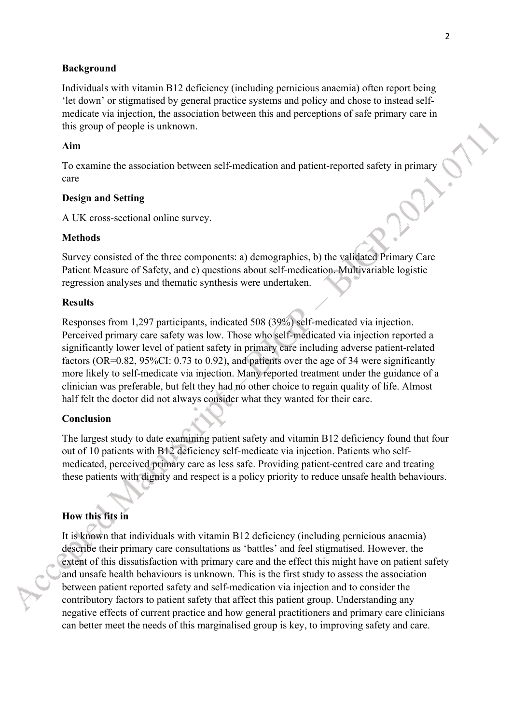## **Background**

Individuals with vitamin B12 deficiency (including pernicious anaemia) often report being 'let down' or stigmatised by general practice systems and policy and chose to instead selfmedicate via injection, the association between this and perceptions of safe primary care in this group of people is unknown.

## **Aim**

To examine the association between self-medication and patient-reported safety in primary care

## **Design and Setting**

A UK cross-sectional online survey.

### **Methods**

Survey consisted of the three components: a) demographics, b) the validated Primary Care Patient Measure of Safety, and c) questions about self-medication. Multivariable logistic regression analyses and thematic synthesis were undertaken.

#### **Results**

Responses from 1,297 participants, indicated 508 (39%) self-medicated via injection. Perceived primary care safety was low. Those who self-medicated via injection reported a significantly lower level of patient safety in primary care including adverse patient-related factors (OR=0.82, 95%CI: 0.73 to 0.92), and patients over the age of 34 were significantly more likely to self-medicate via injection. Many reported treatment under the guidance of a clinician was preferable, but felt they had no other choice to regain quality of life. Almost half felt the doctor did not always consider what they wanted for their care.

## **Conclusion**

The largest study to date examining patient safety and vitamin B12 deficiency found that four out of 10 patients with B12 deficiency self-medicate via injection. Patients who selfmedicated, perceived primary care as less safe. Providing patient-centred care and treating these patients with dignity and respect is a policy priority to reduce unsafe health behaviours.

## **How this fits in**

It is known that individuals with vitamin B12 deficiency (including pernicious anaemia) describe their primary care consultations as 'battles' and feel stigmatised. However, the extent of this dissatisfaction with primary care and the effect this might have on patient safety and unsafe health behaviours is unknown. This is the first study to assess the association between patient reported safety and self-medication via injection and to consider the contributory factors to patient safety that affect this patient group. Understanding any negative effects of current practice and how general practitioners and primary care clinicians can better meet the needs of this marginalised group is key, to improving safety and care.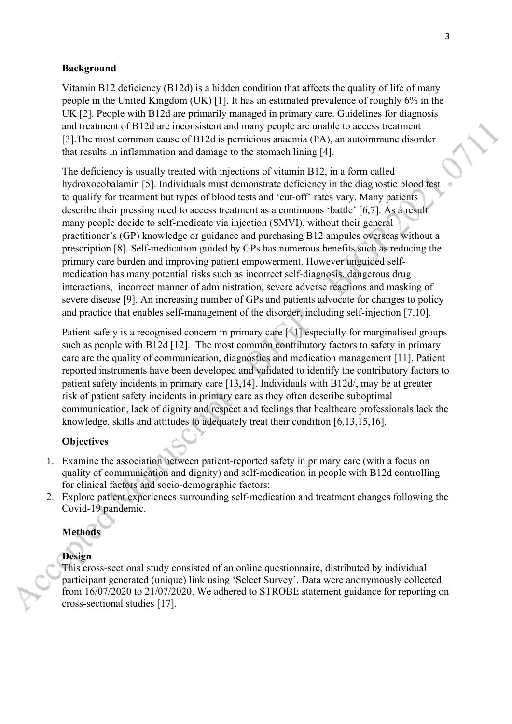## **Background**

Vitamin B12 deficiency (B12d) is a hidden condition that affects the quality of life of many people in the United Kingdom (UK) [1]. It has an estimated prevalence of roughly 6% in the UK [2]. People with B12d are primarily managed in primary care. Guidelines for diagnosis and treatment of B12d are inconsistent and many people are unable to access treatment [3].The most common cause of B12d is pernicious anaemia (PA), an autoimmune disorder that results in inflammation and damage to the stomach lining [4].

The deficiency is usually treated with injections of vitamin B12, in a form called hydroxocobalamin [5]. Individuals must demonstrate deficiency in the diagnostic blood test to qualify for treatment but types of blood tests and 'cut-off' rates vary. Many patients describe their pressing need to access treatment as a continuous 'battle' [6,7]. As a result many people decide to self-medicate via injection (SMVI), without their general practitioner's (GP) knowledge or guidance and purchasing B12 ampules overseas without a prescription [8]. Self-medication guided by GPs has numerous benefits such as reducing the primary care burden and improving patient empowerment. However unguided selfmedication has many potential risks such as incorrect self-diagnosis, dangerous drug interactions, incorrect manner of administration, severe adverse reactions and masking of severe disease [9]. An increasing number of GPs and patients advocate for changes to policy and practice that enables self-management of the disorder, including self-injection [7,10].

Patient safety is a recognised concern in primary care [11] especially for marginalised groups such as people with B12d [12]. The most common contributory factors to safety in primary care are the quality of communication, diagnostics and medication management [11]. Patient reported instruments have been developed and validated to identify the contributory factors to patient safety incidents in primary care [13,14]. Individuals with B12d/, may be at greater risk of patient safety incidents in primary care as they often describe suboptimal communication, lack of dignity and respect and feelings that healthcare professionals lack the knowledge, skills and attitudes to adequately treat their condition [6,13,15,16].

## **Objectives**

- 1. Examine the association between patient-reported safety in primary care (with a focus on quality of communication and dignity) and self-medication in people with B12d controlling for clinical factors and socio-demographic factors;
- 2. Explore patient experiences surrounding self-medication and treatment changes following the Covid-19 pandemic.

## **Methods**

## **Design**

This cross-sectional study consisted of an online questionnaire, distributed by individual participant generated (unique) link using 'Select Survey'. Data were anonymously collected from 16/07/2020 to 21/07/2020. We adhered to STROBE statement guidance for reporting on cross-sectional studies [17].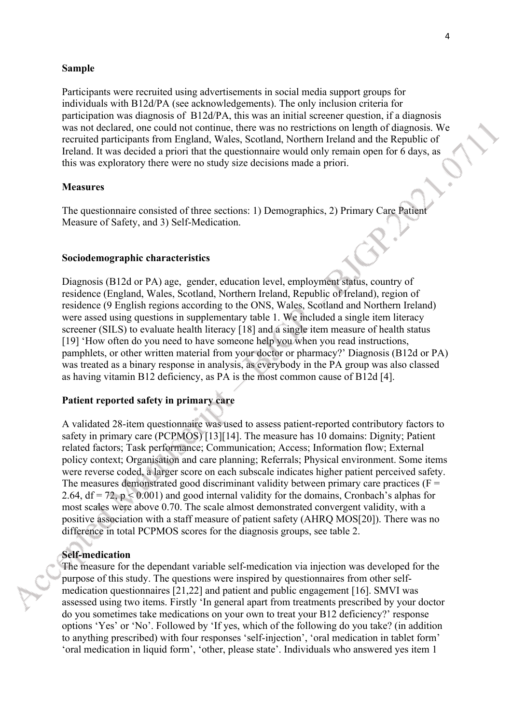#### **Sample**

Participants were recruited using advertisements in social media support groups for individuals with B12d/PA (see acknowledgements). The only inclusion criteria for participation was diagnosis of B12d/PA, this was an initial screener question, if a diagnosis was not declared, one could not continue, there was no restrictions on length of diagnosis. We recruited participants from England, Wales, Scotland, Northern Ireland and the Republic of Ireland. It was decided a priori that the questionnaire would only remain open for 6 days, as this was exploratory there were no study size decisions made a priori.

## **Measures**

The questionnaire consisted of three sections: 1) Demographics, 2) Primary Care Patient Measure of Safety, and 3) Self-Medication.

#### **Sociodemographic characteristics**

Diagnosis (B12d or PA) age, gender, education level, employment status, country of residence (England, Wales, Scotland, Northern Ireland, Republic of Ireland), region of residence (9 English regions according to the ONS, Wales, Scotland and Northern Ireland) were assed using questions in supplementary table 1. We included a single item literacy screener (SILS) to evaluate health literacy [18] and a single item measure of health status [19] 'How often do you need to have someone help you when you read instructions, pamphlets, or other written material from your doctor or pharmacy?' Diagnosis (B12d or PA) was treated as a binary response in analysis, as everybody in the PA group was also classed as having vitamin B12 deficiency, as PA is the most common cause of B12d [4].

## **Patient reported safety in primary care**

A validated 28-item questionnaire was used to assess patient-reported contributory factors to safety in primary care (PCPMOS) [13][14]. The measure has 10 domains: Dignity; Patient related factors; Task performance; Communication; Access; Information flow; External policy context; Organisation and care planning; Referrals; Physical environment. Some items were reverse coded, a larger score on each subscale indicates higher patient perceived safety. The measures demonstrated good discriminant validity between primary care practices ( $F =$ 2.64,  $df = 72$ ,  $p < 0.001$ ) and good internal validity for the domains, Cronbach's alphas for most scales were above 0.70. The scale almost demonstrated convergent validity, with a positive association with a staff measure of patient safety (AHRQ MOS[20]). There was no difference in total PCPMOS scores for the diagnosis groups, see table 2.

## **Self-medication**

The measure for the dependant variable self-medication via injection was developed for the purpose of this study. The questions were inspired by questionnaires from other selfmedication questionnaires [21,22] and patient and public engagement [16]. SMVI was assessed using two items. Firstly 'In general apart from treatments prescribed by your doctor do you sometimes take medications on your own to treat your B12 deficiency?' response options 'Yes' or 'No'. Followed by 'If yes, which of the following do you take? (in addition to anything prescribed) with four responses 'self-injection', 'oral medication in tablet form' 'oral medication in liquid form', 'other, please state'. Individuals who answered yes item 1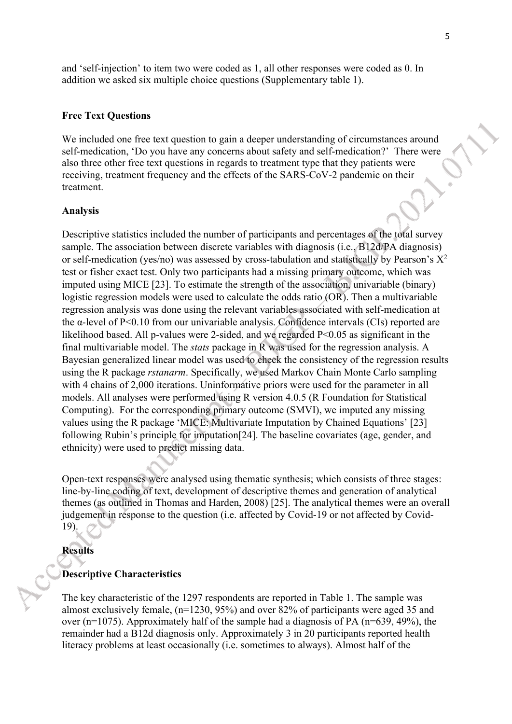and 'self-injection' to item two were coded as 1, all other responses were coded as 0. In addition we asked six multiple choice questions (Supplementary table 1).

#### **Free Text Questions**

We included one free text question to gain a deeper understanding of circumstances around self-medication, 'Do you have any concerns about safety and self-medication?' There were also three other free text questions in regards to treatment type that they patients were receiving, treatment frequency and the effects of the SARS-CoV-2 pandemic on their treatment.

## **Analysis**

Descriptive statistics included the number of participants and percentages of the total survey sample. The association between discrete variables with diagnosis (i.e., B12d/PA diagnosis) or self-medication (yes/no) was assessed by cross-tabulation and statistically by Pearson's  $X^2$ test or fisher exact test. Only two participants had a missing primary outcome, which was imputed using MICE [23]. To estimate the strength of the association, univariable (binary) logistic regression models were used to calculate the odds ratio (OR). Then a multivariable regression analysis was done using the relevant variables associated with self-medication at the α-level of P<0.10 from our univariable analysis. Confidence intervals (CIs) reported are likelihood based. All p-values were 2-sided, and we regarded P<0.05 as significant in the final multivariable model. The *stats* package in R was used for the regression analysis. A Bayesian generalized linear model was used to check the consistency of the regression results using the R package *rstanarm*. Specifically, we used Markov Chain Monte Carlo sampling with 4 chains of 2,000 iterations. Uninformative priors were used for the parameter in all models. All analyses were performed using R version 4.0.5 (R Foundation for Statistical Computing). For the corresponding primary outcome (SMVI), we imputed any missing values using the R package 'MICE: Multivariate Imputation by Chained Equations' [23] following Rubin's principle for imputation[24]. The baseline covariates (age, gender, and ethnicity) were used to predict missing data.

Open-text responses were analysed using thematic synthesis; which consists of three stages: line-by-line coding of text, development of descriptive themes and generation of analytical themes (as outlined in Thomas and Harden, 2008) [25]. The analytical themes were an overall judgement in response to the question (i.e. affected by Covid-19 or not affected by Covid-19).

#### **Results**

#### **Descriptive Characteristics**

The key characteristic of the 1297 respondents are reported in Table 1. The sample was almost exclusively female, (n=1230, 95%) and over 82% of participants were aged 35 and over (n=1075). Approximately half of the sample had a diagnosis of PA (n=639, 49%), the remainder had a B12d diagnosis only. Approximately 3 in 20 participants reported health literacy problems at least occasionally (i.e. sometimes to always). Almost half of the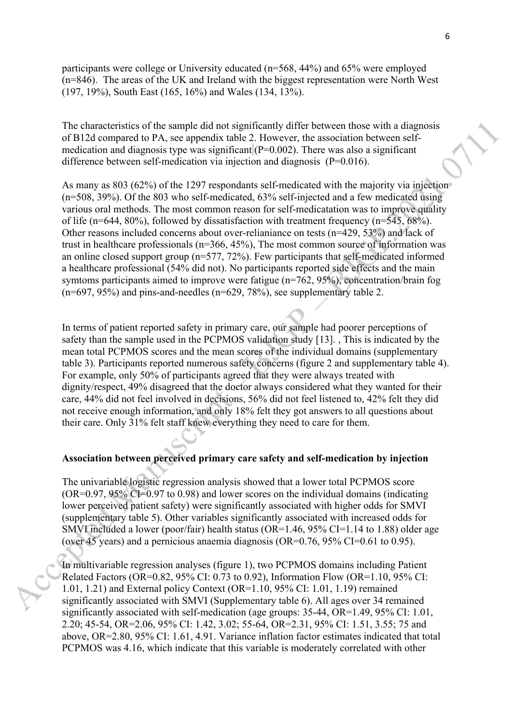participants were college or University educated (n=568, 44%) and 65% were employed (n=846). The areas of the UK and Ireland with the biggest representation were North West (197, 19%), South East (165, 16%) and Wales (134, 13%).

The characteristics of the sample did not significantly differ between those with a diagnosis of B12d compared to PA, see appendix table 2. However, the association between selfmedication and diagnosis type was significant  $(P=0.002)$ . There was also a significant difference between self-medication via injection and diagnosis (P=0.016).

As many as 803 (62%) of the 1297 respondants self-medicated with the majority via injection (n=508, 39%). Of the 803 who self-medicated, 63% self-injected and a few medicated using various oral methods. The most common reason for self-medicatation was to improve quality of life (n=644, 80%), followed by dissatisfaction with treatment frequency (n=545, 68%). Other reasons included concerns about over-relianiance on tests (n=429, 53%) and lack of trust in healthcare professionals (n=366, 45%), The most common source of information was an online closed support group (n=577, 72%). Few participants that self-medicated informed a healthcare professional (54% did not). No participants reported side effects and the main symtoms participants aimed to improve were fatigue (n=762, 95%), concentration/brain fog  $(n=697, 95%)$  and pins-and-needles  $(n=629, 78%)$ , see supplementary table 2.

In terms of patient reported safety in primary care, our sample had poorer perceptions of safety than the sample used in the PCPMOS validation study [13]. , This is indicated by the mean total PCPMOS scores and the mean scores of the individual domains (supplementary table 3). Participants reported numerous safety concerns (figure 2 and supplementary table 4). For example, only 50% of participants agreed that they were always treated with dignity/respect, 49% disagreed that the doctor always considered what they wanted for their care, 44% did not feel involved in decisions, 56% did not feel listened to, 42% felt they did not receive enough information, and only 18% felt they got answers to all questions about their care. Only 31% felt staff knew everything they need to care for them.

## **Association between perceived primary care safety and self-medication by injection**

The univariable logistic regression analysis showed that a lower total PCPMOS score (OR=0.97, 95% CI=0.97 to 0.98) and lower scores on the individual domains (indicating lower perceived patient safety) were significantly associated with higher odds for SMVI (supplementary table 5). Other variables significantly associated with increased odds for SMVI included a lower (poor/fair) health status (OR=1.46, 95% CI=1.14 to 1.88) older age (over 45 years) and a pernicious anaemia diagnosis (OR=0.76, 95% CI=0.61 to 0.95).

In multivariable regression analyses (figure 1), two PCPMOS domains including Patient Related Factors (OR=0.82, 95% CI: 0.73 to 0.92), Information Flow (OR=1.10, 95% CI: 1.01, 1.21) and External policy Context (OR=1.10, 95% CI: 1.01, 1.19) remained significantly associated with SMVI (Supplementary table 6). All ages over 34 remained significantly associated with self-medication (age groups: 35-44, OR=1.49, 95% CI: 1.01, 2.20; 45-54, OR=2.06, 95% CI: 1.42, 3.02; 55-64, OR=2.31, 95% CI: 1.51, 3.55; 75 and above, OR=2.80, 95% CI: 1.61, 4.91. Variance inflation factor estimates indicated that total PCPMOS was 4.16, which indicate that this variable is moderately correlated with other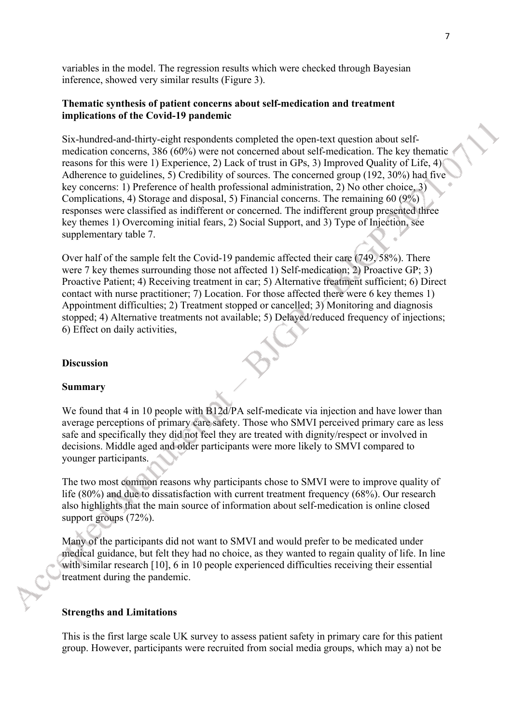variables in the model. The regression results which were checked through Bayesian inference, showed very similar results (Figure 3).

## **Thematic synthesis of patient concerns about self-medication and treatment implications of the Covid-19 pandemic**

Six-hundred-and-thirty-eight respondents completed the open-text question about selfmedication concerns, 386 (60%) were not concerned about self-medication. The key thematic reasons for this were 1) Experience, 2) Lack of trust in GPs, 3) Improved Quality of Life, 4) Adherence to guidelines, 5) Credibility of sources. The concerned group (192, 30%) had five key concerns: 1) Preference of health professional administration, 2) No other choice, 3) Complications, 4) Storage and disposal, 5) Financial concerns. The remaining 60 (9%) responses were classified as indifferent or concerned. The indifferent group presented three key themes 1) Overcoming initial fears, 2) Social Support, and 3) Type of Injection, see supplementary table 7.

Over half of the sample felt the Covid-19 pandemic affected their care (749, 58%). There were 7 key themes surrounding those not affected 1) Self-medication: 2) Proactive GP: 3) Proactive Patient; 4) Receiving treatment in car; 5) Alternative treatment sufficient; 6) Direct contact with nurse practitioner; 7) Location. For those affected there were 6 key themes 1) Appointment difficulties; 2) Treatment stopped or cancelled; 3) Monitoring and diagnosis stopped; 4) Alternative treatments not available; 5) Delayed/reduced frequency of injections; 6) Effect on daily activities,

## **Discussion**

#### **Summary**

We found that 4 in 10 people with B12d/PA self-medicate via injection and have lower than average perceptions of primary care safety. Those who SMVI perceived primary care as less safe and specifically they did not feel they are treated with dignity/respect or involved in decisions. Middle aged and older participants were more likely to SMVI compared to younger participants.

The two most common reasons why participants chose to SMVI were to improve quality of life (80%) and due to dissatisfaction with current treatment frequency (68%). Our research also highlights that the main source of information about self-medication is online closed support groups (72%).

Many of the participants did not want to SMVI and would prefer to be medicated under medical guidance, but felt they had no choice, as they wanted to regain quality of life. In line with similar research [10], 6 in 10 people experienced difficulties receiving their essential treatment during the pandemic.

#### **Strengths and Limitations**

This is the first large scale UK survey to assess patient safety in primary care for this patient group. However, participants were recruited from social media groups, which may a) not be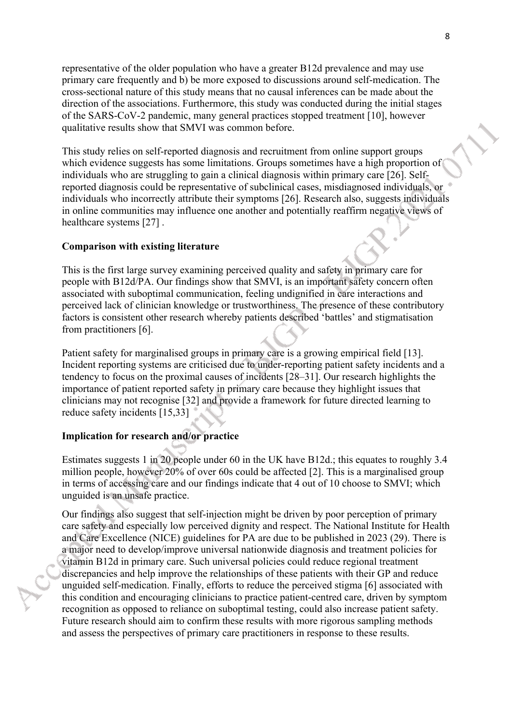representative of the older population who have a greater B12d prevalence and may use primary care frequently and b) be more exposed to discussions around self-medication. The cross-sectional nature of this study means that no causal inferences can be made about the direction of the associations. Furthermore, this study was conducted during the initial stages of the SARS-CoV-2 pandemic, many general practices stopped treatment [10], however qualitative results show that SMVI was common before.

This study relies on self-reported diagnosis and recruitment from online support groups which evidence suggests has some limitations. Groups sometimes have a high proportion of individuals who are struggling to gain a clinical diagnosis within primary care [26]. Selfreported diagnosis could be representative of subclinical cases, misdiagnosed individuals, or individuals who incorrectly attribute their symptoms [26]. Research also, suggests individuals in online communities may influence one another and potentially reaffirm negative views of healthcare systems [27] .

## **Comparison with existing literature**

This is the first large survey examining perceived quality and safety in primary care for people with B12d/PA. Our findings show that SMVI, is an important safety concern often associated with suboptimal communication, feeling undignified in care interactions and perceived lack of clinician knowledge or trustworthiness. The presence of these contributory factors is consistent other research whereby patients described 'battles' and stigmatisation from practitioners [6].

Patient safety for marginalised groups in primary care is a growing empirical field [13]. Incident reporting systems are criticised due to under-reporting patient safety incidents and a tendency to focus on the proximal causes of incidents [28–31]. Our research highlights the importance of patient reported safety in primary care because they highlight issues that clinicians may not recognise [32] and provide a framework for future directed learning to reduce safety incidents [15,33]

## **Implication for research and/or practice**

Estimates suggests 1 in 20 people under 60 in the UK have B12d.; this equates to roughly 3.4 million people, however 20% of over 60s could be affected [2]. This is a marginalised group in terms of accessing care and our findings indicate that 4 out of 10 choose to SMVI; which unguided is an unsafe practice.

Our findings also suggest that self-injection might be driven by poor perception of primary care safety and especially low perceived dignity and respect. The National Institute for Health and Care Excellence (NICE) guidelines for PA are due to be published in 2023 (29). There is a major need to develop/improve universal nationwide diagnosis and treatment policies for vitamin B12d in primary care. Such universal policies could reduce regional treatment discrepancies and help improve the relationships of these patients with their GP and reduce unguided self-medication. Finally, efforts to reduce the perceived stigma [6] associated with this condition and encouraging clinicians to practice patient-centred care, driven by symptom recognition as opposed to reliance on suboptimal testing, could also increase patient safety. Future research should aim to confirm these results with more rigorous sampling methods and assess the perspectives of primary care practitioners in response to these results.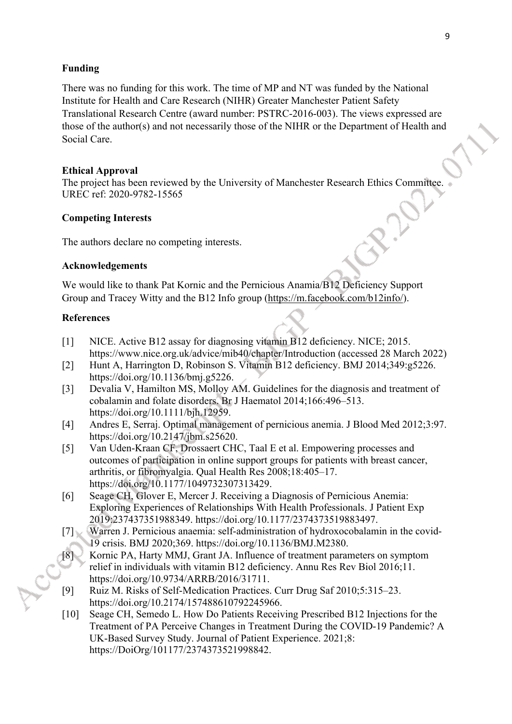## **Funding**

There was no funding for this work. The time of MP and NT was funded by the National Institute for Health and Care Research (NIHR) Greater Manchester Patient Safety Translational Research Centre (award number: PSTRC-2016-003). The views expressed are those of the author(s) and not necessarily those of the NIHR or the Department of Health and Social Care.

## **Ethical Approval**

The project has been reviewed by the University of Manchester Research Ethics Committee. UREC ref: 2020-9782-15565

## **Competing Interests**

The authors declare no competing interests.

## **Acknowledgements**

We would like to thank Pat Kornic and the Pernicious Anamia/B12 Deficiency Support Group and Tracey Witty and the B12 Info group ([https://m.facebook.com/b12info/\)](https://m.facebook.com/b12info/).

## **References**

- [1] NICE. Active B12 assay for diagnosing vitamin B12 deficiency. NICE; 2015. https://www.nice.org.uk/advice/mib40/chapter/Introduction (accessed 28 March 2022)
- [2] Hunt A, Harrington D, Robinson S. Vitamin B12 deficiency. BMJ 2014;349:g5226. https://doi.org/10.1136/bmj.g5226.
- [3] Devalia V, Hamilton MS, Molloy AM. Guidelines for the diagnosis and treatment of cobalamin and folate disorders. Br J Haematol 2014;166:496–513. https://doi.org/10.1111/bjh.12959.
- [4] Andres E, Serraj. Optimal management of pernicious anemia. J Blood Med 2012;3:97. https://doi.org/10.2147/jbm.s25620.
- [5] Van Uden-Kraan CF, Drossaert CHC, Taal E et al. Empowering processes and outcomes of participation in online support groups for patients with breast cancer, arthritis, or fibromyalgia. Qual Health Res 2008;18:405–17. https://doi.org/10.1177/1049732307313429.
- [6] Seage CH, Glover E, Mercer J. Receiving a Diagnosis of Pernicious Anemia: Exploring Experiences of Relationships With Health Professionals. J Patient Exp 2019:237437351988349. https://doi.org/10.1177/2374373519883497.
- [7] Warren J. Pernicious anaemia: self-administration of hydroxocobalamin in the covid-19 crisis. BMJ 2020;369. https://doi.org/10.1136/BMJ.M2380.
- [8] Kornic PA, Harty MMJ, Grant JA. Influence of treatment parameters on symptom relief in individuals with vitamin B12 deficiency. Annu Res Rev Biol 2016;11. https://doi.org/10.9734/ARRB/2016/31711.
- [9] Ruiz M. Risks of Self-Medication Practices. Curr Drug Saf 2010;5:315–23. https://doi.org/10.2174/157488610792245966.
- [10] Seage CH, Semedo L. How Do Patients Receiving Prescribed B12 Injections for the Treatment of PA Perceive Changes in Treatment During the COVID-19 Pandemic? A UK-Based Survey Study. Journal of Patient Experience. 2021;8: https://DoiOrg/101177/2374373521998842.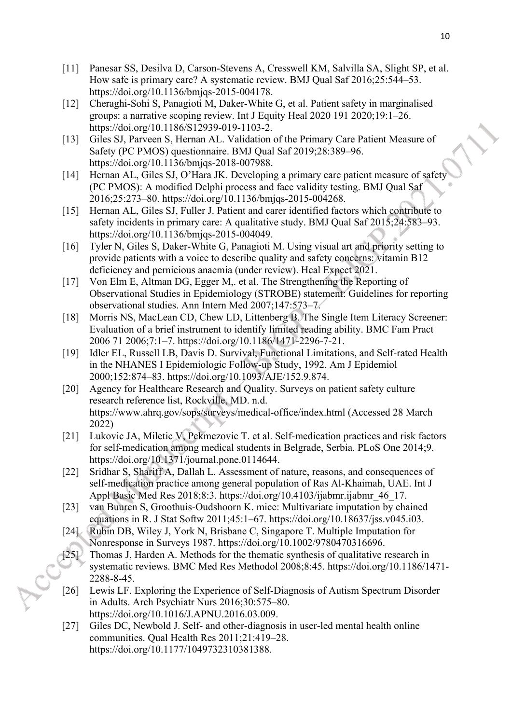- [11] Panesar SS, Desilva D, Carson-Stevens A, Cresswell KM, Salvilla SA, Slight SP, et al. How safe is primary care? A systematic review. BMJ Qual Saf 2016;25:544–53. https://doi.org/10.1136/bmjqs-2015-004178.
- [12] Cheraghi-Sohi S, Panagioti M, Daker-White G, et al. Patient safety in marginalised groups: a narrative scoping review. Int J Equity Heal 2020 191 2020;19:1–26. https://doi.org/10.1186/S12939-019-1103-2.
- [13] Giles SJ, Parveen S, Hernan AL. Validation of the Primary Care Patient Measure of Safety (PC PMOS) questionnaire. BMJ Qual Saf 2019;28:389–96. https://doi.org/10.1136/bmjqs-2018-007988.
- [14] Hernan AL, Giles SJ, O'Hara JK. Developing a primary care patient measure of safety (PC PMOS): A modified Delphi process and face validity testing. BMJ Qual Saf 2016;25:273–80. https://doi.org/10.1136/bmjqs-2015-004268.
- [15] Hernan AL, Giles SJ, Fuller J. Patient and carer identified factors which contribute to safety incidents in primary care: A qualitative study. BMJ Qual Saf 2015;24:583–93. https://doi.org/10.1136/bmjqs-2015-004049.
- [16] Tyler N, Giles S, Daker-White G, Panagioti M. Using visual art and priority setting to provide patients with a voice to describe quality and safety concerns: vitamin B12 deficiency and pernicious anaemia (under review). Heal Expect 2021.
- [17] Von Elm E, Altman DG, Egger M,. et al. The Strengthening the Reporting of Observational Studies in Epidemiology (STROBE) statement: Guidelines for reporting observational studies. Ann Intern Med 2007;147:573–7.
- [18] Morris NS, MacLean CD, Chew LD, Littenberg B. The Single Item Literacy Screener: Evaluation of a brief instrument to identify limited reading ability. BMC Fam Pract 2006 71 2006;7:1–7. https://doi.org/10.1186/1471-2296-7-21.
- [19] Idler EL, Russell LB, Davis D. Survival, Functional Limitations, and Self-rated Health in the NHANES I Epidemiologic Follow-up Study, 1992. Am J Epidemiol 2000;152:874–83. https://doi.org/10.1093/AJE/152.9.874.
- [20] Agency for Healthcare Research and Quality. Surveys on patient safety culture research reference list, Rockville, MD. n.d. https://www.ahrq.gov/sops/surveys/medical-office/index.html (Accessed 28 March 2022)
- [21] Lukovic JA, Miletic V, Pekmezovic T. et al. Self-medication practices and risk factors for self-medication among medical students in Belgrade, Serbia. PLoS One 2014;9. https://doi.org/10.1371/journal.pone.0114644.
- [22] Sridhar S, Shariff A, Dallah L. Assessment of nature, reasons, and consequences of self-medication practice among general population of Ras Al-Khaimah, UAE. Int J Appl Basic Med Res 2018;8:3. https://doi.org/10.4103/ijabmr.ijabmr 46 17.
- [23] van Buuren S, Groothuis-Oudshoorn K. mice: Multivariate imputation by chained equations in R. J Stat Softw 2011;45:1–67. https://doi.org/10.18637/jss.v045.i03.
- [24] Rubin DB, Wiley J, York N, Brisbane C, Singapore T. Multiple Imputation for Nonresponse in Surveys 1987. https://doi.org/10.1002/9780470316696.
- [25] Thomas J, Harden A. Methods for the thematic synthesis of qualitative research in systematic reviews. BMC Med Res Methodol 2008;8:45. https://doi.org/10.1186/1471- 2288-8-45.
- [26] Lewis LF. Exploring the Experience of Self-Diagnosis of Autism Spectrum Disorder in Adults. Arch Psychiatr Nurs 2016;30:575–80. https://doi.org/10.1016/J.APNU.2016.03.009.
- [27] Giles DC, Newbold J. Self- and other-diagnosis in user-led mental health online communities. Qual Health Res 2011;21:419–28. https://doi.org/10.1177/1049732310381388.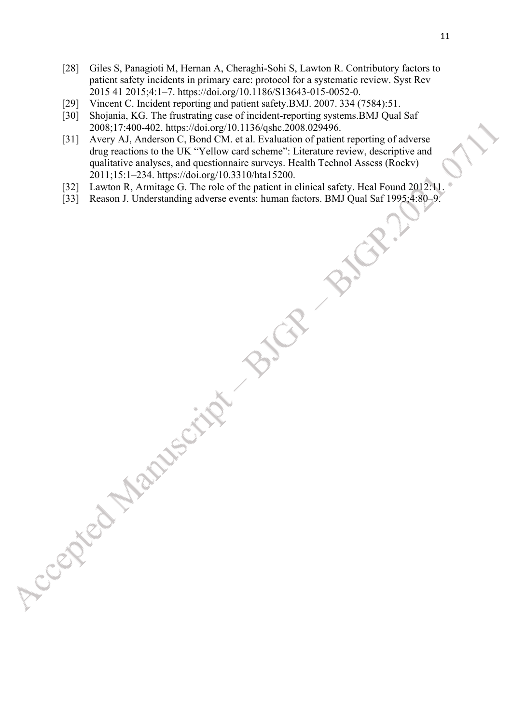- [28] Giles S, Panagioti M, Hernan A, Cheraghi-Sohi S, Lawton R. Contributory factors to patient safety incidents in primary care: protocol for a systematic review. Syst Rev 2015 41 2015;4:1–7. https://doi.org/10.1186/S13643-015-0052-0.
- [29] Vincent C. Incident reporting and patient safety. BMJ. 2007. 334 (7584):51.
- [30] Shojania, KG. The frustrating case of incident-reporting systems.BMJ Qual Saf 2008;17:400-402. https://doi.org/10.1136/qshc.2008.029496.
- [31] Avery AJ, Anderson C, Bond CM. et al. Evaluation of patient reporting of adverse drug reactions to the UK "Yellow card scheme": Literature review, descriptive and qualitative analyses, and questionnaire surveys. Health Technol Assess (Rockv) 2011;15:1–234. https://doi.org/10.3310/hta15200.
- [32] Lawton R, Armitage G. The role of the patient in clinical safety. Heal Found 2012:11.
- [33] Reason J. Understanding adverse events: human factors. BMJ Qual Saf 1995;4:80–9.

Accided Manuscript Bir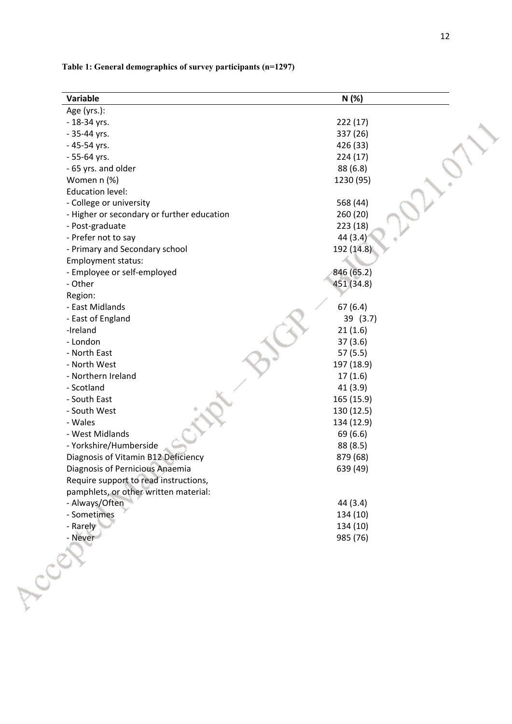|  |  | 12 |
|--|--|----|
|  |  |    |

## **Table 1: General demographics of survey participants (n=1297)**

| Variable                                   | N(%)       |
|--------------------------------------------|------------|
| Age (yrs.):                                |            |
| - 18-34 yrs.                               | 222(17)    |
| - 35-44 yrs.                               | 337 (26)   |
| - 45-54 yrs.                               | 426 (33)   |
| - 55-64 yrs.                               | 224(17)    |
| - 65 yrs. and older                        | 88 (6.8)   |
| Women n (%)                                | 1230 (95)  |
| <b>Education level:</b>                    |            |
| - College or university                    | 568 (44)   |
| - Higher or secondary or further education | 260 (20)   |
| - Post-graduate                            | 223 (18)   |
| - Prefer not to say                        | 44 (3.4)   |
| - Primary and Secondary school             | 192 (14.8) |
| Employment status:                         |            |
| - Employee or self-employed                | 846 (65.2) |
| - Other                                    | 451 (34.8) |
| Region:                                    |            |
| - East Midlands                            | 67(6.4)    |
| - East of England                          | 39 (3.7)   |
| -Ireland                                   | 21(1.6)    |
| - London                                   | 37(3.6)    |
| - North East                               | 57(5.5)    |
| - North West                               | 197 (18.9) |
| - Northern Ireland                         | 17(1.6)    |
| - Scotland                                 | 41(3.9)    |
| - South East                               | 165 (15.9) |
| - South West                               | 130 (12.5) |
| - Wales                                    | 134 (12.9) |
| - West Midlands                            | 69 (6.6)   |
| - Yorkshire/Humberside                     | 88 (8.5)   |
| Diagnosis of Vitamin B12 Deficiency        | 879 (68)   |
| Diagnosis of Pernicious Anaemia            | 639 (49)   |
| Require support to read instructions,      |            |
| pamphlets, or other written material:      |            |
| - Always/Often                             | 44 (3.4)   |
| - Sometimes                                | 134 (10)   |
| - Rarely                                   | 134 (10)   |
| - Never                                    | 985 (76)   |
|                                            |            |
| ACCE?                                      |            |
|                                            |            |
|                                            |            |
|                                            |            |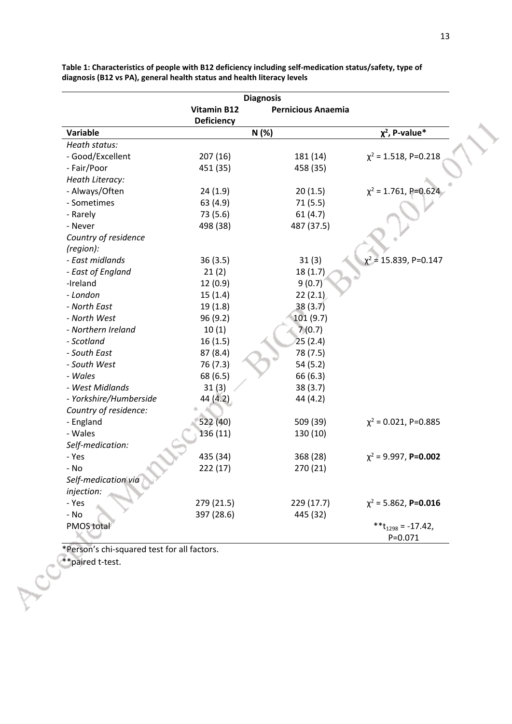|                        |                    | <b>Diagnosis</b>          |                                         |
|------------------------|--------------------|---------------------------|-----------------------------------------|
|                        | <b>Vitamin B12</b> | <b>Pernicious Anaemia</b> |                                         |
|                        | <b>Deficiency</b>  |                           |                                         |
| Variable               |                    | N(%)                      | $\chi^2$ , P-value*                     |
| Heath status:          |                    |                           |                                         |
| - Good/Excellent       | 207(16)            | 181 (14)                  | $\chi^2$ = 1.518, P=0.218               |
| - Fair/Poor            | 451 (35)           | 458 (35)                  |                                         |
| Heath Literacy:        |                    |                           |                                         |
| - Always/Often         | 24(1.9)            | 20(1.5)                   | $\chi^2$ = 1.761, P=0.624               |
| - Sometimes            | 63 (4.9)           | 71(5.5)                   |                                         |
| - Rarely               | 73 (5.6)           | 61(4.7)                   |                                         |
| - Never                | 498 (38)           | 487 (37.5)                |                                         |
| Country of residence   |                    |                           |                                         |
| (region):              |                    |                           |                                         |
| - East midlands        | 36(3.5)            | 31(3)                     | $\chi^2$ = 15.839, P=0.147              |
| - East of England      | 21(2)              | 18(1.7)                   |                                         |
| -Ireland               | 12(0.9)            | 9(0.7)                    |                                         |
| - London               | 15(1.4)            | 22(2.1)                   |                                         |
| - North East           | 19(1.8)            | 38(3.7)                   |                                         |
| - North West           | 96 (9.2)           | 101 (9.7)                 |                                         |
| - Northern Ireland     | 10(1)              | 7(0.7)                    |                                         |
| - Scotland             | 16(1.5)            | 25(2.4)                   |                                         |
| - South East           | 87(8.4)            | 78 (7.5)                  |                                         |
| - South West           | 76 (7.3)           | 54 (5.2)                  |                                         |
| - Wales                | 68 (6.5)           | 66 (6.3)                  |                                         |
| - West Midlands        | 31(3)              | 38(3.7)                   |                                         |
| - Yorkshire/Humberside | 44 (4.2)           | 44 (4.2)                  |                                         |
| Country of residence:  |                    |                           |                                         |
| - England              | 522 (40)           | 509 (39)                  | $\chi^2$ = 0.021, P=0.885               |
| - Wales                | 136 (11)           | 130 (10)                  |                                         |
| Self-medication:       |                    |                           |                                         |
| - Yes                  | 435 (34)           | 368 (28)                  | $\chi^2$ = 9.997, P=0.002               |
| - No                   | 222(17)            | 270 (21)                  |                                         |
| Self-medication via    |                    |                           |                                         |
| injection:             |                    |                           |                                         |
| - Yes                  | 279 (21.5)         | 229 (17.7)                | $\chi^2$ = 5.862, P=0.016               |
| - No                   | 397 (28.6)         | 445 (32)                  |                                         |
| <b>PMOS total</b>      |                    |                           | ** $t_{1298} = -17.42$ ,<br>$P = 0.071$ |

**Table 1: Characteristics of people with B12 deficiency including self-medication status/safety, type of diagnosis (B12 vs PA), general health status and health literacy levels**

\*Person's chi-squared test for all factors.

\*\*paired t-test.